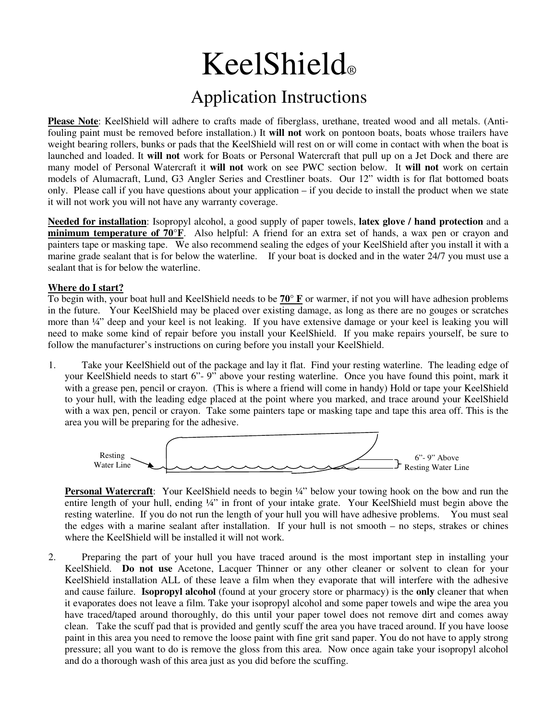## KeelShield®

## Application Instructions

**Please Note**: KeelShield will adhere to crafts made of fiberglass, urethane, treated wood and all metals. (Antifouling paint must be removed before installation.) It **will not** work on pontoon boats, boats whose trailers have weight bearing rollers, bunks or pads that the KeelShield will rest on or will come in contact with when the boat is launched and loaded. It **will not** work for Boats or Personal Watercraft that pull up on a Jet Dock and there are many model of Personal Watercraft it **will not** work on see PWC section below. It **will not** work on certain models of Alumacraft, Lund, G3 Angler Series and Crestliner boats. Our 12" width is for flat bottomed boats only. Please call if you have questions about your application – if you decide to install the product when we state it will not work you will not have any warranty coverage.

**Needed for installation**: Isopropyl alcohol, a good supply of paper towels, **latex glove / hand protection** and a **minimum temperature of 70°F**. Also helpful: A friend for an extra set of hands, a wax pen or crayon and painters tape or masking tape. We also recommend sealing the edges of your KeelShield after you install it with a marine grade sealant that is for below the waterline. If your boat is docked and in the water 24/7 you must use a sealant that is for below the waterline.

## **Where do I start?**

To begin with, your boat hull and KeelShield needs to be **70° F** or warmer, if not you will have adhesion problems in the future. Your KeelShield may be placed over existing damage, as long as there are no gouges or scratches more than ¼" deep and your keel is not leaking. If you have extensive damage or your keel is leaking you will need to make some kind of repair before you install your KeelShield. If you make repairs yourself, be sure to follow the manufacturer's instructions on curing before you install your KeelShield.

1. Take your KeelShield out of the package and lay it flat. Find your resting waterline. The leading edge of your KeelShield needs to start 6"- 9" above your resting waterline. Once you have found this point, mark it with a grease pen, pencil or crayon. (This is where a friend will come in handy) Hold or tape your KeelShield to your hull, with the leading edge placed at the point where you marked, and trace around your KeelShield with a wax pen, pencil or crayon. Take some painters tape or masking tape and tape this area off. This is the area you will be preparing for the adhesive.



**Personal Watercraft:** Your KeelShield needs to begin ¼" below your towing hook on the bow and run the entire length of your hull, ending ¼" in front of your intake grate. Your KeelShield must begin above the resting waterline. If you do not run the length of your hull you will have adhesive problems. You must seal the edges with a marine sealant after installation. If your hull is not smooth – no steps, strakes or chines where the KeelShield will be installed it will not work.

2. Preparing the part of your hull you have traced around is the most important step in installing your KeelShield. **Do not use** Acetone, Lacquer Thinner or any other cleaner or solvent to clean for your KeelShield installation ALL of these leave a film when they evaporate that will interfere with the adhesive and cause failure. **Isopropyl alcohol** (found at your grocery store or pharmacy) is the **only** cleaner that when it evaporates does not leave a film. Take your isopropyl alcohol and some paper towels and wipe the area you have traced/taped around thoroughly, do this until your paper towel does not remove dirt and comes away clean. Take the scuff pad that is provided and gently scuff the area you have traced around. If you have loose paint in this area you need to remove the loose paint with fine grit sand paper. You do not have to apply strong pressure; all you want to do is remove the gloss from this area. Now once again take your isopropyl alcohol and do a thorough wash of this area just as you did before the scuffing.